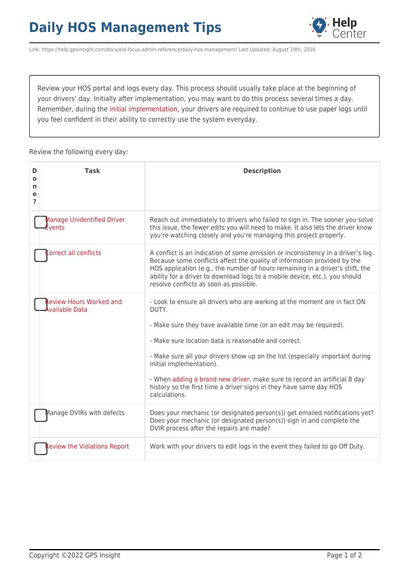## **Daily HOS Management Tips**



Link: https://help.gpsinsight.com/docs/eld-focus-admin-reference/daily-hos-management/ Last Updated: August 19th, 2016

Review your HOS portal and logs every day. This process should usually take place at the beginning of your drivers' day. Initially after implementation, you may want to do this process several times a day. Remember, during the [initial implementation](https://help.gpsinsight.com/best-practice/implementation-tips-for-your-hos-solution/), your drivers are required to continue to use paper logs until you feel confident in their ability to correctly use the system everyday.

Review the following every day:

| D<br>Ο<br>n<br>е<br>2 | Task                                                     | <b>Description</b>                                                                                                                                                                                                                                                                                                                                                                                                                                                                                |
|-----------------------|----------------------------------------------------------|---------------------------------------------------------------------------------------------------------------------------------------------------------------------------------------------------------------------------------------------------------------------------------------------------------------------------------------------------------------------------------------------------------------------------------------------------------------------------------------------------|
|                       | Manage Unidentified Driver<br>Events                     | Reach out immediately to drivers who failed to sign in. The sooner you solve<br>this issue, the fewer edits you will need to make. It also lets the driver know<br>you're watching closely and you're managing this project properly.                                                                                                                                                                                                                                                             |
|                       | orrect all conflicts                                     | A conflict is an indication of some omission or inconsistency in a driver's log.<br>Because some conflicts affect the quality of information provided by the<br>HOS application (e.g., the number of hours remaining in a driver's shift, the<br>ability for a driver to download logs to a mobile device, etc.), you should<br>resolve conflicts as soon as possible.                                                                                                                            |
|                       | <b>Review Hours Worked and</b><br><b>A</b> vailable Data | - Look to ensure all drivers who are working at the moment are in fact ON<br>DUTY.<br>- Make sure they have available time (or an edit may be required).<br>- Make sure location data is reasonable and correct.<br>- Make sure all your drivers show up on the list (especially important during<br>initial implementation).<br>- When adding a brand new driver, make sure to record an artificial 8 day<br>history so the first time a driver signs in they have same day HOS<br>calculations. |
|                       | Manage DVIRs with defects                                | Does your mechanic (or designated person(s)) get emailed notifications yet?<br>Does your mechanic (or designated person(s)) sign in and complete the<br>DVIR process after the repairs are made?                                                                                                                                                                                                                                                                                                  |
|                       | eview the Violations Report                              | Work with your drivers to edit logs in the event they failed to go Off Duty.                                                                                                                                                                                                                                                                                                                                                                                                                      |